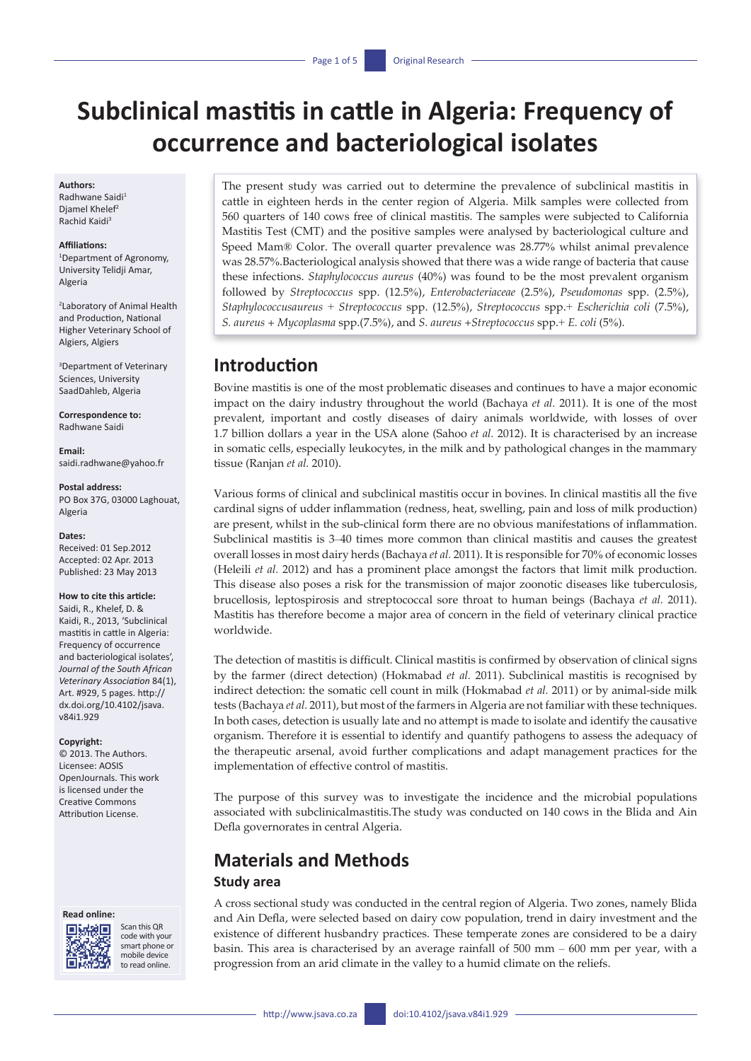# **Subclinical mastitis in cattle in Algeria: Frequency of occurrence and bacteriological isolates**

#### **Authors:**

Radhwane Saidi<sup>1</sup> Djamel Khelef<sup>2</sup> Rachid Kaidi3

#### **Affiliations:**

1 Department of Agronomy, University Telidji Amar, Algeria

2 Laboratory of Animal Health and Production, National Higher Veterinary School of Algiers, Algiers

3 Department of Veterinary Sciences, University SaadDahleb, Algeria

**Correspondence to:** Radhwane Saidi

**Email:** [saidi.radhwane@yahoo.fr](mailto:saidi.radhwane@yahoo.fr)

**Postal address:** PO Box 37G, 03000 Laghouat, Algeria

#### **Dates:**

Received: 01 Sep.2012 Accepted: 02 Apr. 2013 Published: 23 May 2013

#### **How to cite this article:**

Saidi, R., Khelef, D. & Kaidi, R., 2013, 'Subclinical mastitis in cattle in Algeria: Frequency of occurrence and bacteriological isolates', *Journal of the South African Veterinary Association* 84(1), Art. #929, 5 pages. [http://](http://dx.doi.org/10.4102/jsava.v84i1.929) [dx.doi.org/10.4102/jsava.](http://dx.doi.org/10.4102/jsava.v84i1.929) [v84i1.929](http://dx.doi.org/10.4102/jsava.v84i1.929)

#### **Copyright:**

© 2013. The Authors. Licensee: AOSIS OpenJournals. This work is licensed under the Creative Commons Attribution License.





Scan this QR code with your smart phone or mobile device to read online.

The present study was carried out to determine the prevalence of subclinical mastitis in cattle in eighteen herds in the center region of Algeria. Milk samples were collected from 560 quarters of 140 cows free of clinical mastitis. The samples were subjected to California Mastitis Test (CMT) and the positive samples were analysed by bacteriological culture and Speed Mam® Color. The overall quarter prevalence was 28.77% whilst animal prevalence was 28.57%.Bacteriological analysis showed that there was a wide range of bacteria that cause these infections. *Staphylococcus aureus* (40%) was found to be the most prevalent organism followed by *Streptococcus* spp. (12.5%), *Enterobacteriaceae* (2.5%), *Pseudomonas* spp. (2.5%), *Staphylococcusaureus* + *Streptococcus* spp. (12.5%), *Streptococcus* spp.+ *Escherichia coli* (7.5%), *S. aureus + Mycoplasma* spp.(7.5%), and *S. aureus* +*Streptococcus* spp.+ *E. coli* (5%).

## **Introduction**

Bovine mastitis is one of the most problematic diseases and continues to have a major economic impact on the dairy industry throughout the world (Bachaya *et al.* 2011). It is one of the most prevalent, important and costly diseases of dairy animals worldwide, with losses of over 1.7 billion dollars a year in the USA alone (Sahoo *et al.* 2012). It is characterised by an increase in somatic cells, especially leukocytes, in the milk and by pathological changes in the mammary tissue (Ranjan *et al.* 2010).

Various forms of clinical and subclinical mastitis occur in bovines. In clinical mastitis all the five cardinal signs of udder inflammation (redness, heat, swelling, pain and loss of milk production) are present, whilst in the sub-clinical form there are no obvious manifestations of inflammation. Subclinical mastitis is 3–40 times more common than clinical mastitis and causes the greatest overall losses in most dairy herds (Bachaya *et al.* 2011). It is responsible for 70% of economic losses (Heleili *et al.* 2012) and has a prominent place amongst the factors that limit milk production. This disease also poses a risk for the transmission of major zoonotic diseases like tuberculosis, brucellosis, leptospirosis and streptococcal sore throat to human beings (Bachaya *et al.* 2011). Mastitis has therefore become a major area of concern in the field of veterinary clinical practice worldwide.

The detection of mastitis is difficult. Clinical mastitis is confirmed by observation of clinical signs by the farmer (direct detection) (Hokmabad *et al.* 2011). Subclinical mastitis is recognised by indirect detection: the somatic cell count in milk (Hokmabad *et al.* 2011) or by animal-side milk tests (Bachaya *et al.* 2011), but most of the farmers in Algeria are not familiar with these techniques. In both cases, detection is usually late and no attempt is made to isolate and identify the causative organism. Therefore it is essential to identify and quantify pathogens to assess the adequacy of the therapeutic arsenal, avoid further complications and adapt management practices for the implementation of effective control of mastitis.

The purpose of this survey was to investigate the incidence and the microbial populations associated with subclinicalmastitis.The study was conducted on 140 cows in the Blida and Ain Defla governorates in central Algeria.

## **Materials and Methods**

#### **Study area**

A cross sectional study was conducted in the central region of Algeria. Two zones, namely Blida and Ain Defla, were selected based on dairy cow population, trend in dairy investment and the existence of different husbandry practices. These temperate zones are considered to be a dairy basin. This area is characterised by an average rainfall of 500 mm – 600 mm per year, with a progression from an arid climate in the valley to a humid climate on the reliefs.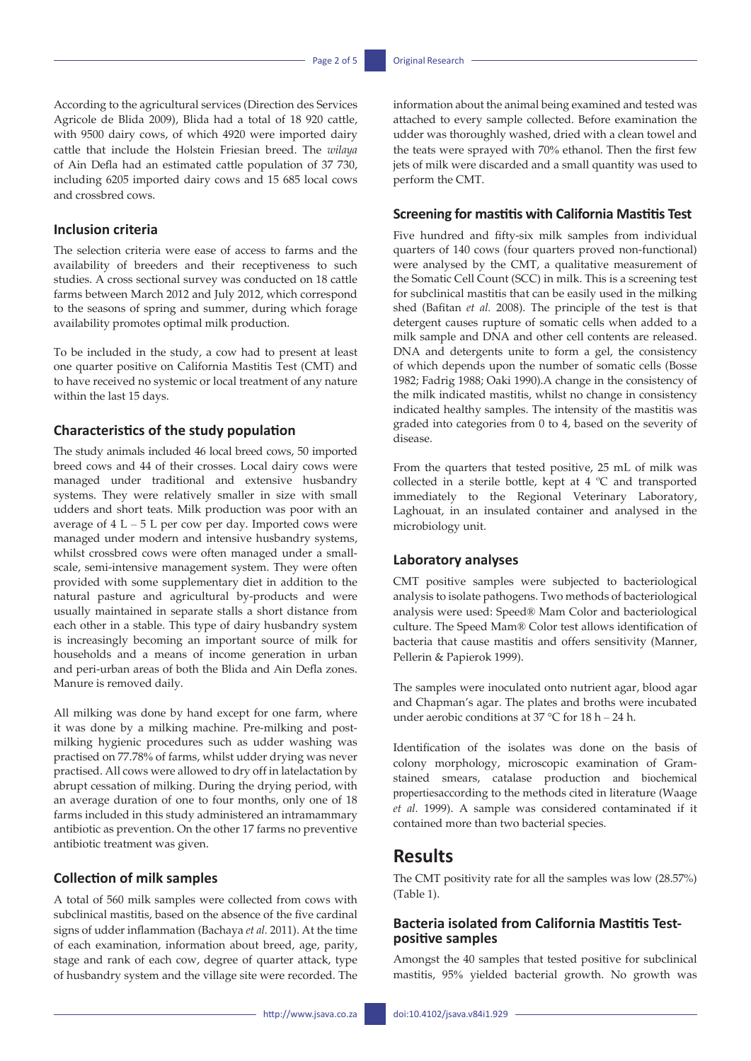According to the agricultural services (Direction des Services Agricole de Blida 2009), Blida had a total of 18 920 cattle, with 9500 dairy cows, of which 4920 were imported dairy cattle that include the Holstein Friesian breed. The *wilaya* of Ain Defla had an estimated cattle population of 37 730, including 6205 imported dairy cows and 15 685 local cows and crossbred cows.

### **Inclusion criteria**

The selection criteria were ease of access to farms and the availability of breeders and their receptiveness to such studies. A cross sectional survey was conducted on 18 cattle farms between March 2012 and July 2012, which correspond to the seasons of spring and summer, during which forage availability promotes optimal milk production.

To be included in the study, a cow had to present at least one quarter positive on California Mastitis Test (CMT) and to have received no systemic or local treatment of any nature within the last 15 days.

#### **Characteristics of the study population**

The study animals included 46 local breed cows, 50 imported breed cows and 44 of their crosses. Local dairy cows were managed under traditional and extensive husbandry systems. They were relatively smaller in size with small udders and short teats. Milk production was poor with an average of  $4 L - 5 L$  per cow per day. Imported cows were managed under modern and intensive husbandry systems, whilst crossbred cows were often managed under a smallscale, semi-intensive management system. They were often provided with some supplementary diet in addition to the natural pasture and agricultural by-products and were usually maintained in separate stalls a short distance from each other in a stable. This type of dairy husbandry system is increasingly becoming an important source of milk for households and a means of income generation in urban and peri-urban areas of both the Blida and Ain Defla zones. Manure is removed daily.

All milking was done by hand except for one farm, where it was done by a milking machine. Pre-milking and postmilking hygienic procedures such as udder washing was practised on 77.78% of farms, whilst udder drying was never practised. All cows were allowed to dry off in latelactation by abrupt cessation of milking. During the drying period, with an average duration of one to four months, only one of 18 farms included in this study administered an intramammary antibiotic as prevention. On the other 17 farms no preventive antibiotic treatment was given.

### **Collection of milk samples**

A total of 560 milk samples were collected from cows with subclinical mastitis, based on the absence of the five cardinal signs of udder inflammation (Bachaya *et al.* 2011). At the time of each examination, information about breed, age, parity, stage and rank of each cow, degree of quarter attack, type of husbandry system and the village site were recorded. The information about the animal being examined and tested was attached to every sample collected. Before examination the udder was thoroughly washed, dried with a clean towel and the teats were sprayed with 70% ethanol. Then the first few jets of milk were discarded and a small quantity was used to perform the CMT.

### **Screening for mastitis with California Mastitis Test**

Five hundred and fifty-six milk samples from individual quarters of 140 cows (four quarters proved non-functional) were analysed by the CMT, a qualitative measurement of the Somatic Cell Count (SCC) in milk. This is a screening test for subclinical mastitis that can be easily used in the milking shed (Bafitan *et al.* 2008). The principle of the test is that detergent causes rupture of somatic cells when added to a milk sample and DNA and other cell contents are released. DNA and detergents unite to form a gel, the consistency of which depends upon the number of somatic cells (Bosse 1982; Fadrig 1988; Oaki 1990).A change in the consistency of the milk indicated mastitis, whilst no change in consistency indicated healthy samples. The intensity of the mastitis was graded into categories from 0 to 4, based on the severity of disease.

From the quarters that tested positive, 25 mL of milk was collected in a sterile bottle, kept at 4 ºC and transported immediately to the Regional Veterinary Laboratory, Laghouat, in an insulated container and analysed in the microbiology unit.

### **Laboratory analyses**

CMT positive samples were subjected to bacteriological analysis to isolate pathogens. Two methods of bacteriological analysis were used: Speed® Mam Color and bacteriological culture. The Speed Mam® Color test allows identification of bacteria that cause mastitis and offers sensitivity (Manner, Pellerin & Papierok 1999).

The samples were inoculated onto nutrient agar, blood agar and Chapman's agar. The plates and broths were incubated under aerobic conditions at 37 °C for 18 h – 24 h.

Identification of the isolates was done on the basis of colony morphology, microscopic examination of Gramstained smears, catalase production and biochemical propertiesaccording to the methods cited in literature (Waage *et al.* 1999). A sample was considered contaminated if it contained more than two bacterial species.

## **Results**

The CMT positivity rate for all the samples was low (28.57%) (Table 1).

### **Bacteria isolated from California Mastitis Testpositive samples**

Amongst the 40 samples that tested positive for subclinical mastitis, 95% yielded bacterial growth. No growth was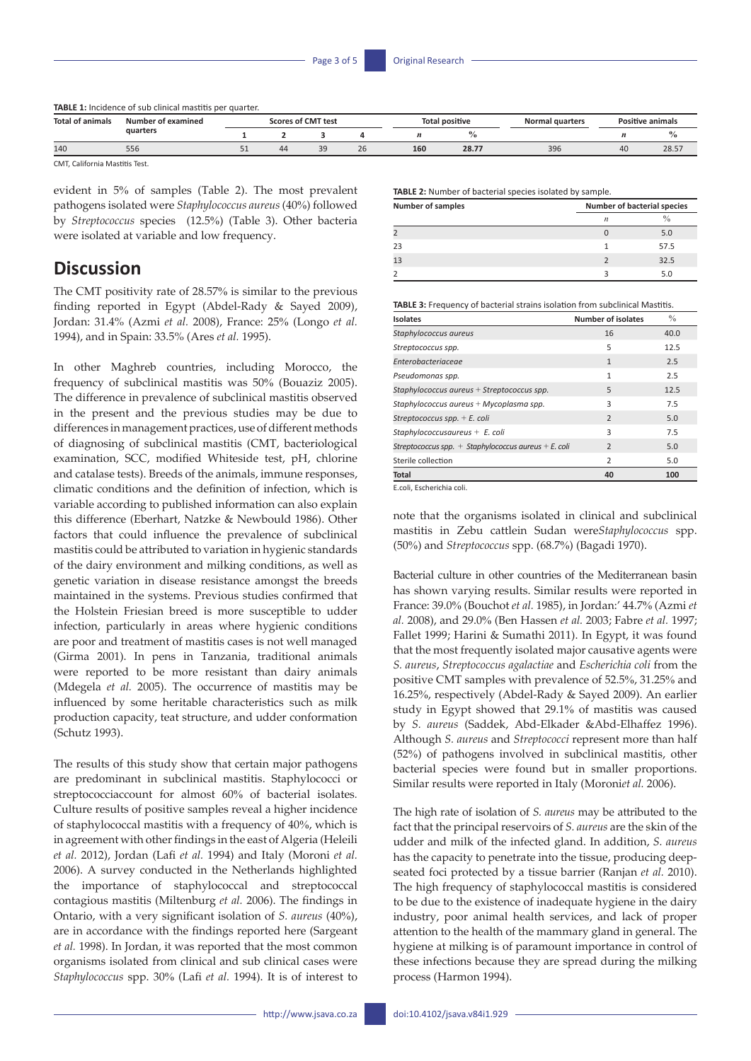**TABLE 1:** Incidence of sub clinical mastitis per quarter.

| Total.<br>t animals | Number of examined<br>quarters | cores of CMT test |    |              |    | ' positive |             | Normal quarters | <b>Positive animals</b> |       |
|---------------------|--------------------------------|-------------------|----|--------------|----|------------|-------------|-----------------|-------------------------|-------|
|                     |                                |                   |    |              |    |            |             |                 |                         | 70    |
| 140                 | 556                            | ᇰᆂ                | 44 | $\sim$<br>-- | ۷b | 160        | 207<br>20.7 | 396             | 40                      | 28.57 |

CMT, California Mastitis Test.

evident in 5% of samples (Table 2). The most prevalent pathogens isolated were *Staphylococcus aureus* (40%) followed by *Streptococcus* species (12.5%) (Table 3). Other bacteria were isolated at variable and low frequency.

## **Discussion**

The CMT positivity rate of 28.57% is similar to the previous finding reported in Egypt (Abdel-Rady & Sayed 2009), Jordan: 31.4% (Azmi *et al.* 2008), France: 25% (Longo *et al.* 1994), and in Spain: 33.5% (Ares *et al.* 1995).

In other Maghreb countries, including Morocco, the frequency of subclinical mastitis was 50% (Bouaziz 2005). The difference in prevalence of subclinical mastitis observed in the present and the previous studies may be due to differences in management practices, use of different methods of diagnosing of subclinical mastitis (CMT, bacteriological examination, SCC, modified Whiteside test, pH, chlorine and catalase tests). Breeds of the animals, immune responses, climatic conditions and the definition of infection, which is variable according to published information can also explain this difference (Eberhart, Natzke & Newbould 1986). Other factors that could influence the prevalence of subclinical mastitis could be attributed to variation in hygienic standards of the dairy environment and milking conditions, as well as genetic variation in disease resistance amongst the breeds maintained in the systems. Previous studies confirmed that the Holstein Friesian breed is more susceptible to udder infection, particularly in areas where hygienic conditions are poor and treatment of mastitis cases is not well managed (Girma 2001). In pens in Tanzania, traditional animals were reported to be more resistant than dairy animals (Mdegela *et al.* 2005). The occurrence of mastitis may be influenced by some heritable characteristics such as milk production capacity, teat structure, and udder conformation (Schutz 1993).

The results of this study show that certain major pathogens are predominant in subclinical mastitis. Staphylococci or streptococciaccount for almost 60% of bacterial isolates*.* Culture results of positive samples reveal a higher incidence of staphylococcal mastitis with a frequency of 40%, which is in agreement with other findings in the east of Algeria (Heleili *et al.* 2012), Jordan (Lafi *et al.* 1994) and Italy (Moroni *et al.* 2006). A survey conducted in the Netherlands highlighted the importance of staphylococcal and streptococcal contagious mastitis (Miltenburg *et al.* 2006). The findings in Ontario, with a very significant isolation of *S. aureus* (40%), are in accordance with the findings reported here (Sargeant *et al.* 1998). In Jordan, it was reported that the most common organisms isolated from clinical and sub clinical cases were *Staphylococcus* spp. 30% (Lafi *et al.* 1994). It is of interest to

**TABLE 2:** Number of bacterial species isolated by sample.

| <b>Number of samples</b> | Number of bacterial species |               |  |  |
|--------------------------|-----------------------------|---------------|--|--|
|                          | $\boldsymbol{n}$            | $\frac{0}{0}$ |  |  |
|                          |                             | 5.0           |  |  |
| 23                       |                             | 57.5          |  |  |
| 13                       |                             | 32.5          |  |  |
|                          |                             | 5.0           |  |  |

**TABLE 3:** Frequency of bacterial strains isolation from subclinical Mastitis.

| <b>Isolates</b>                                      | <b>Number of isolates</b> | $\frac{0}{0}$ |
|------------------------------------------------------|---------------------------|---------------|
| Staphylococcus aureus                                | 16                        | 40.0          |
| Streptococcus spp.                                   | 5                         | 12.5          |
| Enterobacteriaceae                                   | $\mathbf{1}$              | 2.5           |
| Pseudomonas spp.                                     | $\mathbf{1}$              | 2.5           |
| Staphylococcus aureus + Streptococcus spp.           | 5                         | 12.5          |
| Staphylococcus aureus + Mycoplasma spp.              | 3                         | 7.5           |
| Streptococcus spp. $+ E$ . coli                      | $\overline{z}$            | 5.0           |
| Staphylococcusaureus $+ E$ . coli                    | 3                         | 7.5           |
| Streptococcus spp. + Staphylococcus aureus + E. coli | $\overline{2}$            | 5.0           |
| Sterile collection                                   | $\overline{2}$            | 5.0           |
| <b>Total</b>                                         | 40                        | 100           |

E.coli, Escherichia coli.

note that the organisms isolated in clinical and subclinical mastitis in Zebu cattlein Sudan were*Staphylococcus* spp. (50%) and *Streptococcus* spp. (68.7%) (Bagadi 1970).

Bacterial culture in other countries of the Mediterranean basin has shown varying results. Similar results were reported in France: 39.0% (Bouchot *et al.* 1985), in Jordan:' 44.7% (Azmi *et al.* 2008), and 29.0% (Ben Hassen *et al.* 2003; Fabre *et al.* 1997; Fallet 1999; Harini & Sumathi 2011). In Egypt, it was found that the most frequently isolated major causative agents were *S. aureus*, *Streptococcus agalactiae* and *Escherichia coli* from the positive CMT samples with prevalence of 52.5%, 31.25% and 16.25%, respectively (Abdel-Rady & Sayed 2009). An earlier study in Egypt showed that 29.1% of mastitis was caused by *S. aureus* (Saddek, Abd-Elkader &Abd-Elhaffez 1996). Although *S. aureus* and *Streptococci* represent more than half (52%) of pathogens involved in subclinical mastitis, other bacterial species were found but in smaller proportions. Similar results were reported in Italy (Moroni*et al.* 2006).

The high rate of isolation of *S. aureus* may be attributed to the fact that the principal reservoirs of *S. aureus* are the skin of the udder and milk of the infected gland. In addition, *S. aureus*  has the capacity to penetrate into the tissue, producing deepseated foci protected by a tissue barrier (Ranjan *et al.* 2010). The high frequency of staphylococcal mastitis is considered to be due to the existence of inadequate hygiene in the dairy industry, poor animal health services, and lack of proper attention to the health of the mammary gland in general. The hygiene at milking is of paramount importance in control of these infections because they are spread during the milking process (Harmon 1994).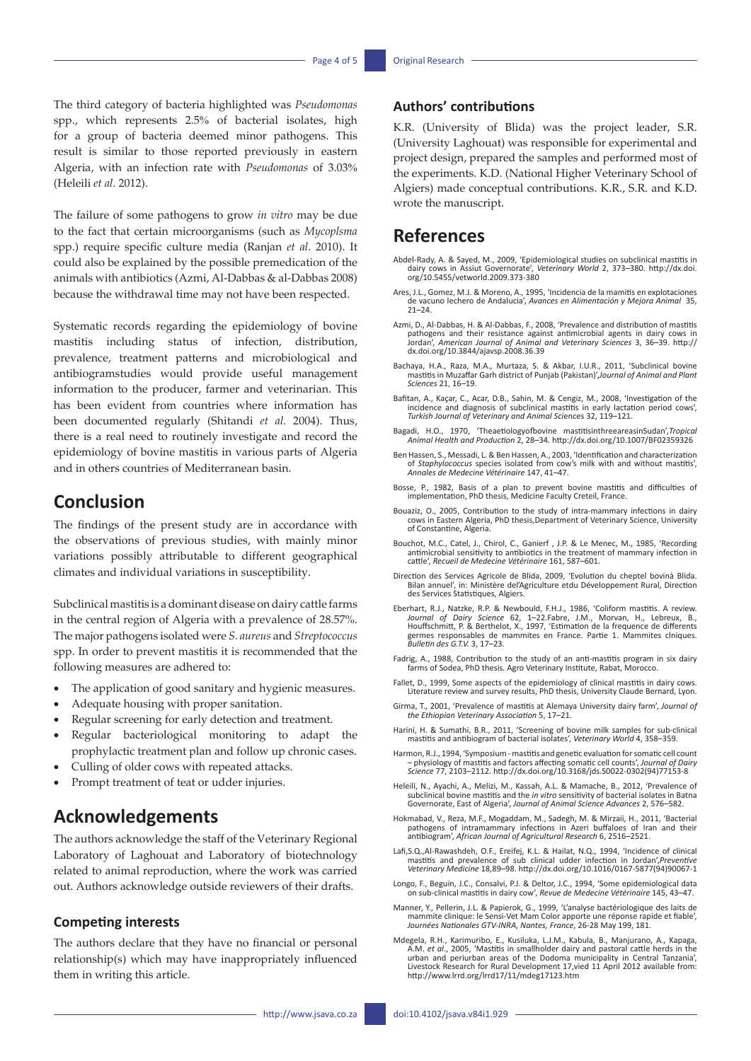The third category of bacteria highlighted was *Pseudomonas* spp., which represents 2.5% of bacterial isolates, high for a group of bacteria deemed minor pathogens. This result is similar to those reported previously in eastern Algeria, with an infection rate with *Pseudomonas* of 3.03% (Heleili *et al.* 2012).

The failure of some pathogens to grow *in vitro* may be due to the fact that certain microorganisms (such as *Mycoplsma* spp.) require specific culture media (Ranjan *et al.* 2010). It could also be explained by the possible premedication of the animals with antibiotics (Azmi, Al-Dabbas & al-Dabbas 2008) because the withdrawal time may not have been respected.

Systematic records regarding the epidemiology of bovine mastitis including status of infection, distribution, prevalence, treatment patterns and microbiological and antibiogramstudies would provide useful management information to the producer, farmer and veterinarian. This has been evident from countries where information has been documented regularly (Shitandi *et al.* 2004). Thus, there is a real need to routinely investigate and record the epidemiology of bovine mastitis in various parts of Algeria and in others countries of Mediterranean basin.

## **Conclusion**

The findings of the present study are in accordance with the observations of previous studies, with mainly minor variations possibly attributable to different geographical climates and individual variations in susceptibility.

Subclinical mastitis is a dominant disease on dairy cattle farms in the central region of Algeria with a prevalence of 28.57%. The major pathogens isolated were *S. aureus* and *Streptococcus* spp. In order to prevent mastitis it is recommended that the following measures are adhered to:

- The application of good sanitary and hygienic measures.
- Adequate housing with proper sanitation.
- Regular screening for early detection and treatment.
- Regular bacteriological monitoring to adapt the prophylactic treatment plan and follow up chronic cases.
- Culling of older cows with repeated attacks.
- Prompt treatment of teat or udder injuries.

## **Acknowledgements**

The authors acknowledge the staff of the Veterinary Regional Laboratory of Laghouat and Laboratory of biotechnology related to animal reproduction, where the work was carried out. Authors acknowledge outside reviewers of their drafts.

#### **Competing interests**

The authors declare that they have no financial or personal relationship(s) which may have inappropriately influenced them in writing this article.

### **Authors' contributions**

K.R. (University of Blida) was the project leader, S.R. (University Laghouat) was responsible for experimental and project design, prepared the samples and performed most of the experiments. K.D. (National Higher Veterinary School of Algiers) made conceptual contributions. K.R., S.R. and K.D. wrote the manuscript.

## **References**

- Abdel-Rady, A. & Sayed, M., 2009, 'Epidemiological studies on subclinical mastitis in dairy cows in Assiut Governorate', *Veterinary World* 2, 373–380. [http://dx.doi.](http://dx.doi.org/10.5455/vetworld.2009.373-380) [org/10.5455/vetworld.2009.373-380](http://dx.doi.org/10.5455/vetworld.2009.373-380)
- Ares, J.L., Gomez, M.J. & Moreno, A., 1995, 'Incidencia de la mamitis en explotaciones de vacuno lechero de Andalucia', *Avances en Alimentación y Mejora Animal* 35,  $21 - 24$ .
- Azmi, D., Al-Dabbas, H. & Al-Dabbas, F., 2008, 'Prevalence and distribution of mastitis pathogens and their resistance against antimicrobial agents in dairy cows in Jordan', *American Journal of Animal and Veterinary Sciences* 3, 36–39. [http://](http://dx.doi.org/10.3844/ajavsp.2008.36.39) [dx.doi.org/10.3844/ajavsp.2008.36.39](http://dx.doi.org/10.3844/ajavsp.2008.36.39)
- Bachaya, H.A., Raza, M.A., Murtaza, S. & Akbar, I.U.R., 2011, 'Subclinical bovine mastitis in Muzaffar Garh district of Punjab (Pakistan)',*Journal of Animal and Plant Sciences* 21, 16–19.
- Bafitan, A., Kaçar, C., Acar, D.B., Sahin, M. & Cengiz, M., 2008, 'Investigation of the incidence and diagnosis of subclinical mastitis in early lactation period cows', *Turkish Journal of Veterinary and Animal Sci*ences 32, 119–121.
- Bagadi, H.O., 1970, 'Theaetiologyofbovine mastitisinthreeareasinSudan',*Tropical Animal Health and Production* 2, 28–34. <http://dx.doi.org/10.1007/BF02359326>
- Ben Hassen, S., Messadi, L. & Ben Hassen, A., 2003, 'Identification and characterization of *Staphylococcus* species isolated from cow's milk with and without mastitis', *Annales de Medecine Vétérinaire* 147, 41–47.
- Bosse, P., 1982, Basis of a plan to prevent bovine mastitis and difficulties of implementation, PhD thesis, Medicine Faculty Creteil, France.
- Bouaziz, O., 2005, Contribution to the study of intra-mammary infections in dairy cows in Eastern Algeria, PhD thesis,Department of Veterinary Science, University of Constantine, Algeria.
- Bouchot, M.C., Catel, J., Chirol, C., Ganierf , J.P. & Le Menec, M., 1985, 'Recording antimicrobial sensitivity to antibiotics in the treatment of mammary infection in cattle', *Recueil de Medecine Vétérinaire* 161, 587–601.
- Direction des Services Agricole de Blida, 2009, 'Evolution du cheptel bovinà Blida. Bilan annuel', in: Ministère del'Agriculture etdu Développement Rural, Direction des Services Statistiques, Algiers.
- Eberhart, R.J., Natzke, R.P. & Newbould, F.H.J., 1986, 'Coliform mastitis. A review. *Journal of Dairy Science* 62, 1–22.Fabre, J.M., Morvan, H., Lebreux, B., Houffschmitt, P. & Berthelot, X., 1997, 'Estimation de la frequence de differents germes responsables de mammites en France. Partie 1. Mammites clniques. *Bulletin des G.T.V.* 3, 17–23.
- Fadrig, A., 1988, Contribution to the study of an anti-mastitis program in six dairy farms of Sodea, PhD thesis*.* Agro Veterinary Institute, Rabat, Morocco.
- Fallet, D., 1999, Some aspects of the epidemiology of clinical mastitis in dairy cows. Literature review and survey results, PhD thesis, University Claude Bernard, Lyon.
- Girma, T., 2001, 'Prevalence of mastitis at Alemaya University dairy farm', *Journal of the Ethiopian Veterinary Association* 5, 17–21.
- Harini, H. & Sumathi, B.R., 2011, 'Screening of bovine milk samples for sub-clinical mastitis and antibiogram of bacterial isolates', *Veterinary World* 4, 358–359.
- Harmon, R.J., 1994, 'Symposium mastitis and genetic evaluation for somatic cell count – physiology of mastitis and factors affecting somatic cell counts', *Journal of Dairy Science* 77, 2103–2112. h[ttp://dx.doi.org/10.3168/jds.S0022-0302\(94\)77153-8](http://dx.doi.org/10.3168/jds.S0022-0302(94)77153-8)
- Heleili, N., Ayachi, A., Melizi, M., Kassah, A.L. & Mamache, B., 2012, 'Prevalence of subclinical bovine mastitis and the *in vitro* sensitivity of bacterial isolates in Batna Governorate, East of Algeria', *Journal of Animal Science Advances* 2, 576–582.
- Hokmabad, V., Reza, M.F., Mogaddam, M., Sadegh, M. & Mirzaii, H., 2011, 'Bacterial pathogens of intramammary infections in Azeri buffaloes of Iran and their antibiogram', *African Journal of Agricultural Research* 6, 2516–2521.
- Lafi,S.Q.,Al-Rawashdeh, O.F., Ereifej, K.L. & Hailat, N.Q., 1994, 'Incidence of clinical mastitis and prevalence of sub clinical udder infection in Jordan',*Preventive Veterinary Medicine* 18,89–98. h[ttp://dx.doi.org/10.1016/0167-5877\(94\)90067-1](http://dx.doi.org/10.1016/0167-5877(94)90067-1)
- Longo, F., Beguin, J.C., Consalvi, P.J. & Deltor, J.C., 1994, 'Some epidemiological data on sub-clinical mastitis in dairy cow', *Revue de Medecine Vétérinaire* 145, 43–47.
- Manner, Y., Pellerin, J.L. & Papierok, G., 1999, 'L'analyse bactériologique des laits de mammite clinique: le Sensi-Vet Mam Color apporte une réponse rapide et fiable', *Journées Nationales GTV-INRA, Nantes, France*, 26-28 May 199, 181.
- Mdegela, R.H., Karimuribo, E., Kusiluka, L.J.M., Kabula, B., Manjurano, A., Kapaga, A.M. *et al.*, 2005, 'Mastitis in smallholder dairy and pastoral cattle herds in the<br>urban and periurban areas of the Dodoma municipality in Central Tanzania',<br>Livestock Research for Rural Development 17,vied 11 April 2012 h[ttp://www.lrrd.org/lrrd17/11/mdeg17123.htm](http://www.lrrd.org/lrrd17/11/mdeg17123.htm)